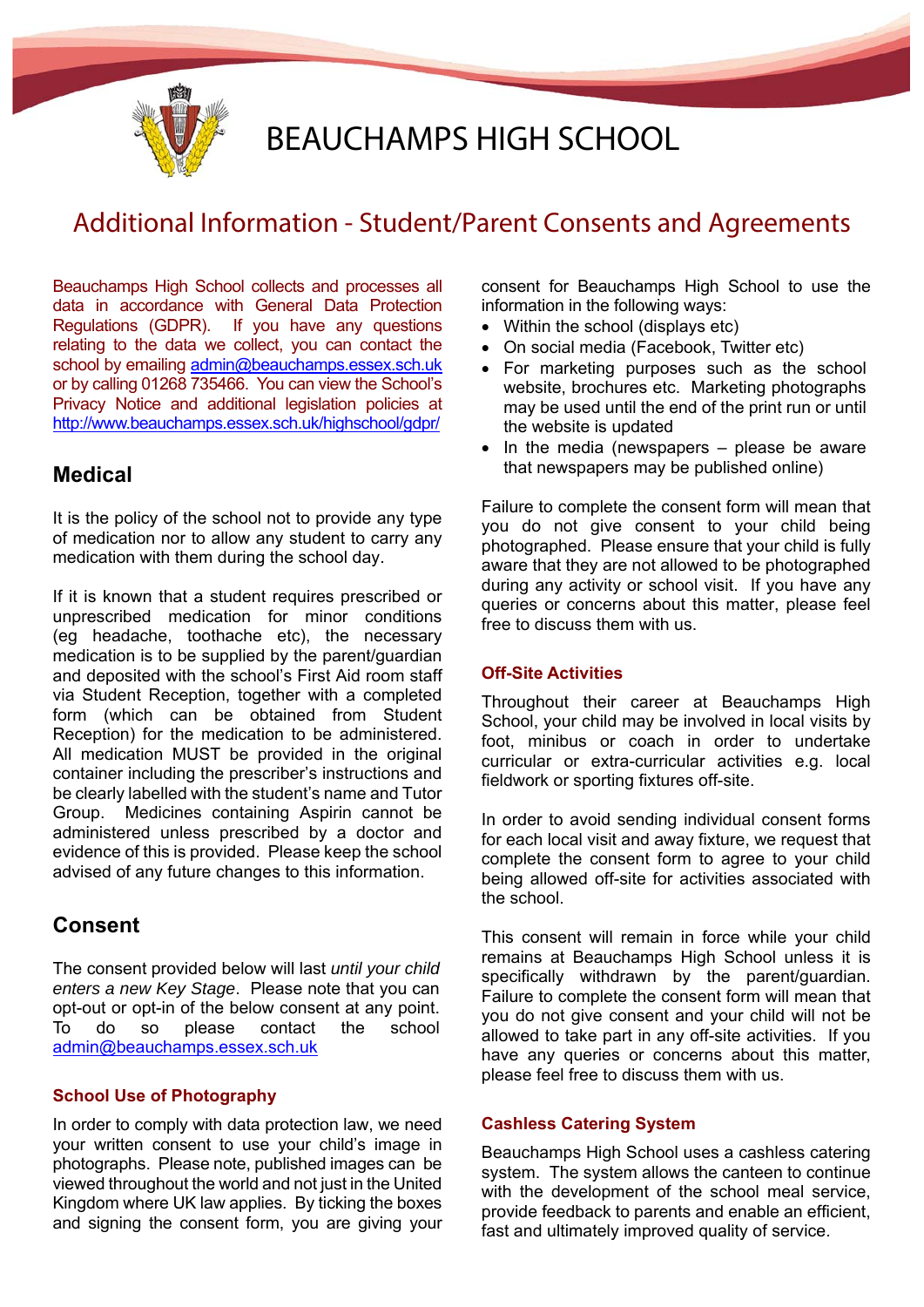

# BEAUCHAMPS HIGH SCHOOL

# Additional Information - Student/Parent Consents and Agreements

Beauchamps High School collects and processes all data in accordance with General Data Protection Regulations (GDPR). If you have any questions relating to the data we collect, you can contact the school by emailing admin@beauchamps.essex.sch.uk or by calling 01268 735466. You can view the School's Privacy Notice and additional legislation policies at http://www.beauchamps.essex.sch.uk/highschool/gdpr/

# **Medical**

It is the policy of the school not to provide any type of medication nor to allow any student to carry any medication with them during the school day.

If it is known that a student requires prescribed or unprescribed medication for minor conditions (eg headache, toothache etc), the necessary medication is to be supplied by the parent/guardian and deposited with the school's First Aid room staff via Student Reception, together with a completed form (which can be obtained from Student Reception) for the medication to be administered. All medication MUST be provided in the original container including the prescriber's instructions and be clearly labelled with the student's name and Tutor Group. Medicines containing Aspirin cannot be administered unless prescribed by a doctor and evidence of this is provided. Please keep the school advised of any future changes to this information.

# **Consent**

The consent provided below will last *until your child enters a new Key Stage*. Please note that you can opt-out or opt-in of the below consent at any point. To do so please contact the school admin@beauchamps.essex.sch.uk

# **School Use of Photography**

In order to comply with data protection law, we need your written consent to use your child's image in photographs. Please note, published images can be viewed throughout the world and not just in the United Kingdom where UK law applies. By ticking the boxes and signing the consent form, you are giving your

consent for Beauchamps High School to use the information in the following ways:

- Within the school (displays etc)
- On social media (Facebook, Twitter etc)
- For marketing purposes such as the school website, brochures etc. Marketing photographs may be used until the end of the print run or until the website is updated
- $\bullet$  In the media (newspapers please be aware that newspapers may be published online)

Failure to complete the consent form will mean that you do not give consent to your child being photographed. Please ensure that your child is fully aware that they are not allowed to be photographed during any activity or school visit. If you have any queries or concerns about this matter, please feel free to discuss them with us.

## **Off-Site Activities**

Throughout their career at Beauchamps High School, your child may be involved in local visits by foot, minibus or coach in order to undertake curricular or extra-curricular activities e.g. local fieldwork or sporting fixtures off-site.

In order to avoid sending individual consent forms for each local visit and away fixture, we request that complete the consent form to agree to your child being allowed off-site for activities associated with the school.

This consent will remain in force while your child remains at Beauchamps High School unless it is specifically withdrawn by the parent/guardian. Failure to complete the consent form will mean that you do not give consent and your child will not be allowed to take part in any off-site activities. If you have any queries or concerns about this matter, please feel free to discuss them with us.

## **Cashless Catering System**

Beauchamps High School uses a cashless catering system. The system allows the canteen to continue with the development of the school meal service, provide feedback to parents and enable an efficient, fast and ultimately improved quality of service.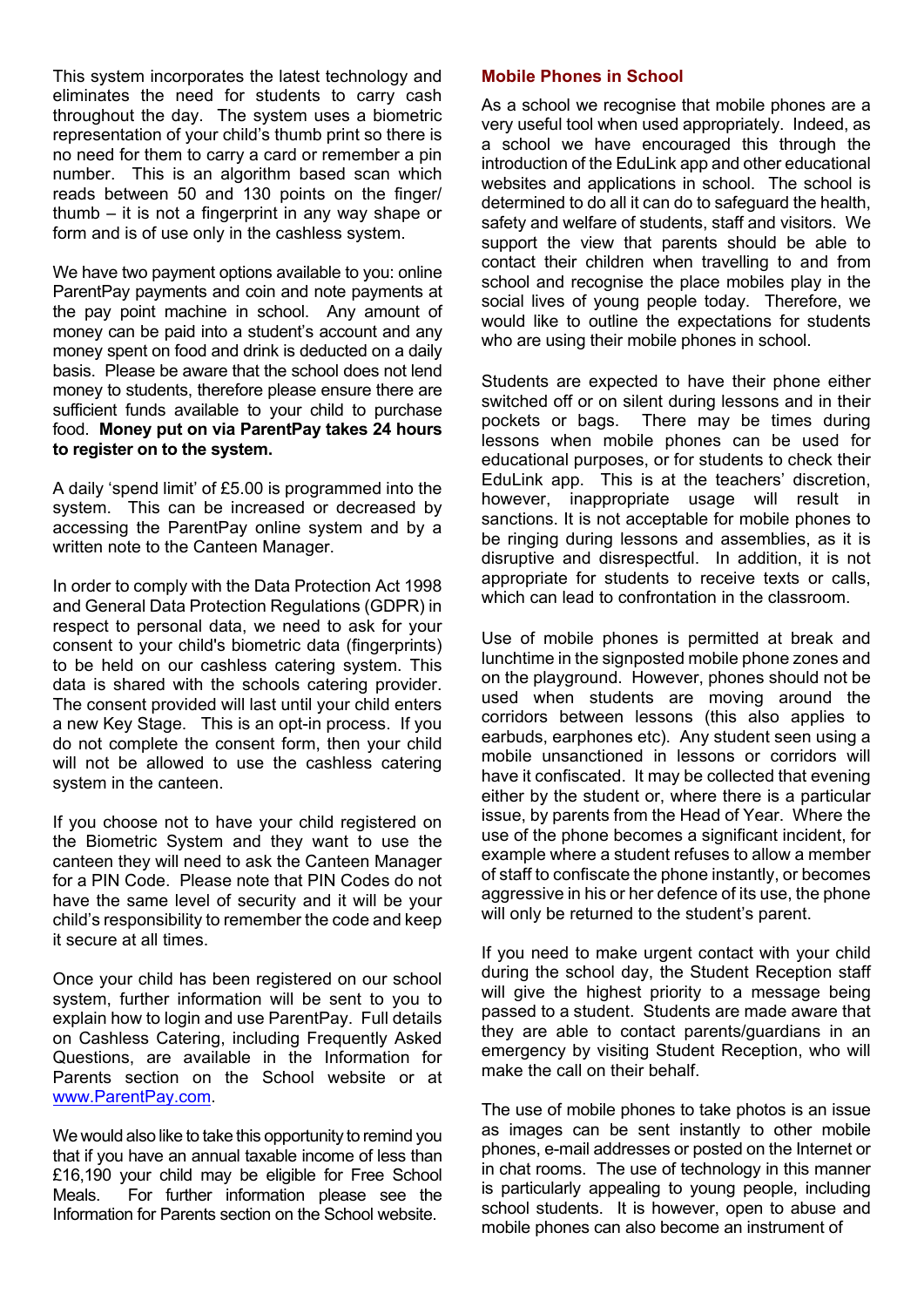This system incorporates the latest technology and eliminates the need for students to carry cash throughout the day. The system uses a biometric representation of your child's thumb print so there is no need for them to carry a card or remember a pin number. This is an algorithm based scan which reads between 50 and 130 points on the finger/ thumb – it is not a fingerprint in any way shape or form and is of use only in the cashless system.

We have two payment options available to you: online ParentPay payments and coin and note payments at the pay point machine in school. Any amount of money can be paid into a student's account and any money spent on food and drink is deducted on a daily basis. Please be aware that the school does not lend money to students, therefore please ensure there are sufficient funds available to your child to purchase food. **Money put on via ParentPay takes 24 hours to register on to the system.**

A daily 'spend limit' of £5.00 is programmed into the system. This can be increased or decreased by accessing the ParentPay online system and by a written note to the Canteen Manager.

In order to comply with the Data Protection Act 1998 and General Data Protection Regulations (GDPR) in respect to personal data, we need to ask for your consent to your child's biometric data (fingerprints) to be held on our cashless catering system. This data is shared with the schools catering provider. The consent provided will last until your child enters a new Key Stage. This is an opt-in process. If you do not complete the consent form, then your child will not be allowed to use the cashless catering system in the canteen.

If you choose not to have your child registered on the Biometric System and they want to use the canteen they will need to ask the Canteen Manager for a PIN Code. Please note that PIN Codes do not have the same level of security and it will be your child's responsibility to remember the code and keep it secure at all times.

Once your child has been registered on our school system, further information will be sent to you to explain how to login and use ParentPay. Full details on Cashless Catering, including Frequently Asked Questions, are available in the Information for Parents section on the School website or at www.ParentPay.com.

We would also like to take this opportunity to remind you that if you have an annual taxable income of less than £16,190 your child may be eligible for Free School Meals. For further information please see the Information for Parents section on the School website.

#### **Mobile Phones in School**

As a school we recognise that mobile phones are a very useful tool when used appropriately. Indeed, as a school we have encouraged this through the introduction of the EduLink app and other educational websites and applications in school. The school is determined to do all it can do to safeguard the health, safety and welfare of students, staff and visitors. We support the view that parents should be able to contact their children when travelling to and from school and recognise the place mobiles play in the social lives of young people today. Therefore, we would like to outline the expectations for students who are using their mobile phones in school.

Students are expected to have their phone either switched off or on silent during lessons and in their pockets or bags. There may be times during lessons when mobile phones can be used for educational purposes, or for students to check their EduLink app. This is at the teachers' discretion, however, inappropriate usage will result in sanctions. It is not acceptable for mobile phones to be ringing during lessons and assemblies, as it is disruptive and disrespectful. In addition, it is not appropriate for students to receive texts or calls, which can lead to confrontation in the classroom.

Use of mobile phones is permitted at break and lunchtime in the signposted mobile phone zones and on the playground. However, phones should not be used when students are moving around the corridors between lessons (this also applies to earbuds, earphones etc). Any student seen using a mobile unsanctioned in lessons or corridors will have it confiscated. It may be collected that evening either by the student or, where there is a particular issue, by parents from the Head of Year. Where the use of the phone becomes a significant incident, for example where a student refuses to allow a member of staff to confiscate the phone instantly, or becomes aggressive in his or her defence of its use, the phone will only be returned to the student's parent.

If you need to make urgent contact with your child during the school day, the Student Reception staff will give the highest priority to a message being passed to a student. Students are made aware that they are able to contact parents/guardians in an emergency by visiting Student Reception, who will make the call on their behalf.

The use of mobile phones to take photos is an issue as images can be sent instantly to other mobile phones, e-mail addresses or posted on the Internet or in chat rooms. The use of technology in this manner is particularly appealing to young people, including school students. It is however, open to abuse and mobile phones can also become an instrument of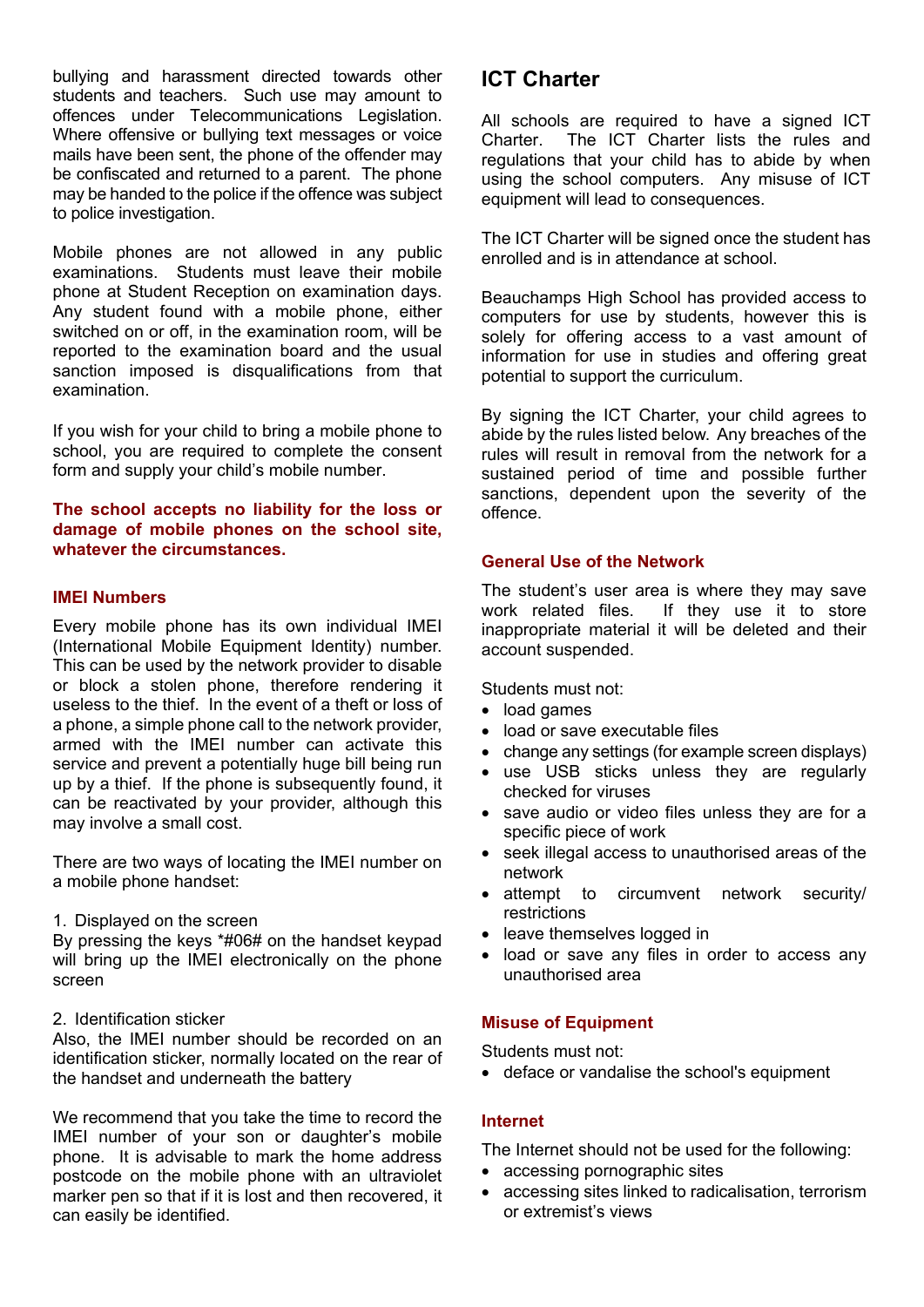bullying and harassment directed towards other students and teachers. Such use may amount to offences under Telecommunications Legislation. Where offensive or bullying text messages or voice mails have been sent, the phone of the offender may be confiscated and returned to a parent. The phone may be handed to the police if the offence was subject to police investigation.

Mobile phones are not allowed in any public examinations. Students must leave their mobile phone at Student Reception on examination days. Any student found with a mobile phone, either switched on or off, in the examination room, will be reported to the examination board and the usual sanction imposed is disqualifications from that examination.

If you wish for your child to bring a mobile phone to school, you are required to complete the consent form and supply your child's mobile number.

#### **The school accepts no liability for the loss or damage of mobile phones on the school site, whatever the circumstances.**

#### **IMEI Numbers**

Every mobile phone has its own individual IMEI (International Mobile Equipment Identity) number. This can be used by the network provider to disable or block a stolen phone, therefore rendering it useless to the thief. In the event of a theft or loss of a phone, a simple phone call to the network provider, armed with the IMEI number can activate this service and prevent a potentially huge bill being run up by a thief. If the phone is subsequently found, it can be reactivated by your provider, although this may involve a small cost.

There are two ways of locating the IMEI number on a mobile phone handset:

1. Displayed on the screen

By pressing the keys \*#06# on the handset keypad will bring up the IMEI electronically on the phone screen

2. Identification sticker

Also, the IMEI number should be recorded on an identification sticker, normally located on the rear of the handset and underneath the battery

We recommend that you take the time to record the IMEI number of your son or daughter's mobile phone. It is advisable to mark the home address postcode on the mobile phone with an ultraviolet marker pen so that if it is lost and then recovered, it can easily be identified.

# **ICT Charter**

All schools are required to have a signed ICT Charter. The ICT Charter lists the rules and regulations that your child has to abide by when using the school computers. Any misuse of ICT equipment will lead to consequences.

The ICT Charter will be signed once the student has enrolled and is in attendance at school.

Beauchamps High School has provided access to computers for use by students, however this is solely for offering access to a vast amount of information for use in studies and offering great potential to support the curriculum.

By signing the ICT Charter, your child agrees to abide by the rules listed below. Any breaches of the rules will result in removal from the network for a sustained period of time and possible further sanctions, dependent upon the severity of the offence.

## **General Use of the Network**

The student's user area is where they may save work related files. If they use it to store inappropriate material it will be deleted and their account suspended.

Students must not:

- load games
- load or save executable files
- change any settings (for example screen displays)
- use USB sticks unless they are regularly checked for viruses
- save audio or video files unless they are for a specific piece of work
- seek illegal access to unauthorised areas of the network
- attempt to circumvent network security/ restrictions
- leave themselves logged in
- load or save any files in order to access any unauthorised area

## **Misuse of Equipment**

Students must not:

deface or vandalise the school's equipment

# **Internet**

The Internet should not be used for the following:

- accessing pornographic sites
- accessing sites linked to radicalisation, terrorism or extremist's views